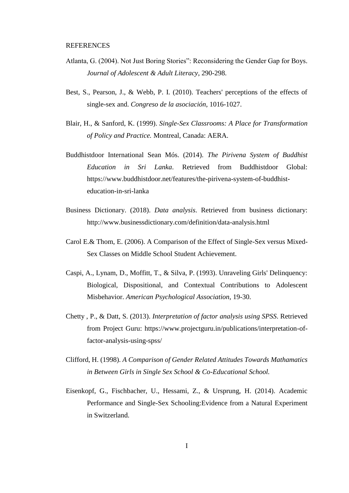- Atlanta, G. (2004). Not Just Boring Stories": Reconsidering the Gender Gap for Boys. *Journal of Adolescent & Adult Literacy*, 290-298.
- Best, S., Pearson, J., & Webb, P. I. (2010). Teachers' perceptions of the effects of single-sex and. *Congreso de la asociación*, 1016-1027.
- Blair, H., & Sanford, K. (1999). *Single-Sex Classrooms: A Place for Transformation of Policy and Practice.* Montreal, Canada: AERA.
- Buddhistdoor International Sean Mós. (2014). *The Pirivena System of Buddhist Education in Sri Lanka*. Retrieved from Buddhistdoor Global: https://www.buddhistdoor.net/features/the-pirivena-system-of-buddhisteducation-in-sri-lanka
- Business Dictionary. (2018). *Data analysis*. Retrieved from business dictionary: http://www.businessdictionary.com/definition/data-analysis.html
- Carol E.& Thom, E. (2006). A Comparison of the Effect of Single-Sex versus Mixed-Sex Classes on Middle School Student Achievement.
- Caspi, A., Lynam, D., Moffitt, T., & Silva, P. (1993). Unraveling Girls' Delinquency: Biological, Dispositional, and Contextual Contributions to Adolescent Misbehavior. *American Psychological Association*, 19-30.
- Chetty , P., & Datt, S. (2013). *Interpretation of factor analysis using SPSS*. Retrieved from Project Guru: https://www.projectguru.in/publications/interpretation-offactor-analysis-using-spss/
- Clifford, H. (1998). *A Comparison of Gender Related Attitudes Towards Mathamatics in Between Girls in Single Sex School & Co-Educational School.*
- Eisenkopf, G., Fischbacher, U., Hessami, Z., & Ursprung, H. (2014). Academic Performance and Single-Sex Schooling:Evidence from a Natural Experiment in Switzerland.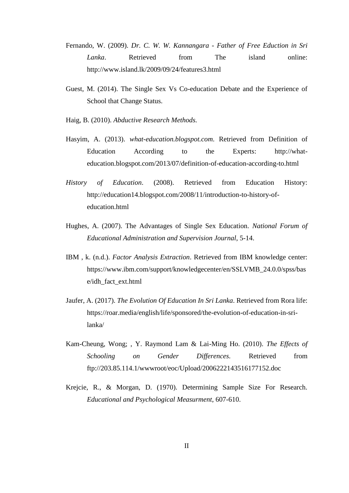- Fernando, W. (2009). *Dr. C. W. W. Kannangara - Father of Free Eduction in Sri Lanka*. Retrieved from The island online: http://www.island.lk/2009/09/24/features3.html
- Guest, M. (2014). The Single Sex Vs Co-education Debate and the Experience of School that Change Status.
- Haig, B. (2010). *Abductive Research Methods.*
- Hasyim, A. (2013). *what-education.blogspot.com*. Retrieved from Definition of Education According to the Experts: http://whateducation.blogspot.com/2013/07/definition-of-education-according-to.html
- *History of Education*. (2008). Retrieved from Education History: http://education14.blogspot.com/2008/11/introduction-to-history-ofeducation.html
- Hughes, A. (2007). The Advantages of Single Sex Education. *National Forum of Educational Administration and Supervision Journal*, 5-14.
- IBM , k. (n.d.). *Factor Analysis Extraction*. Retrieved from IBM knowledge center: https://www.ibm.com/support/knowledgecenter/en/SSLVMB\_24.0.0/spss/bas e/idh\_fact\_ext.html
- Jaufer, A. (2017). *The Evolution Of Education In Sri Lanka*. Retrieved from Rora life: https://roar.media/english/life/sponsored/the-evolution-of-education-in-srilanka/
- Kam-Cheung, Wong; , Y. Raymond Lam & Lai-Ming Ho. (2010). *The Effects of Schooling on Gender Differences.* Retrieved from ftp://203.85.114.1/wwwroot/eoc/Upload/2006222143516177152.doc
- Krejcie, R., & Morgan, D. (1970). Determining Sample Size For Research. *Educational and Psychological Measurment*, 607-610.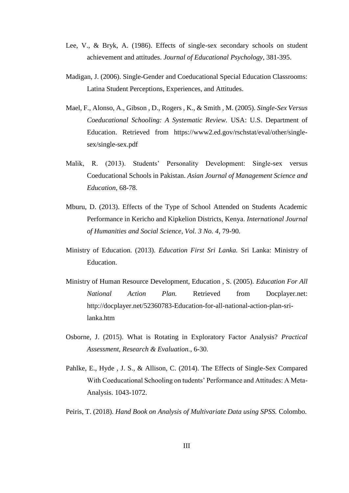- Lee, V., & Bryk, A. (1986). Effects of single-sex secondary schools on student achievement and attitudes. *Journal of Educational Psychology*, 381-395.
- Madigan, J. (2006). Single-Gender and Coeducational Special Education Classrooms: Latina Student Perceptions, Experiences, and Attitudes.
- Mael, F., Alonso, A., Gibson , D., Rogers , K., & Smith , M. (2005). *Single-Sex Versus Coeducational Schooling: A Systematic Review.* USA: U.S. Department of Education. Retrieved from https://www2.ed.gov/rschstat/eval/other/singlesex/single-sex.pdf
- Malik, R. (2013). Students' Personality Development: Single-sex versus Coeducational Schools in Pakistan. *Asian Journal of Management Science and Education*, 68-78.
- Mburu, D. (2013). Effects of the Type of School Attended on Students Academic Performance in Kericho and Kipkelion Districts, Kenya. *International Journal of Humanities and Social Science, Vol. 3 No. 4*, 79-90.
- Ministry of Education. (2013). *Education First Sri Lanka.* Sri Lanka: Ministry of Education.
- Ministry of Human Resource Development, Education , S. (2005). *Education For All National Action Plan.* Retrieved from Docplayer.net: http://docplayer.net/52360783-Education-for-all-national-action-plan-srilanka.htm
- Osborne, J. (2015). What is Rotating in Exploratory Factor Analysis? *Practical Assessment, Research & Evaluation.*, 6-30.
- Pahlke, E., Hyde , J. S., & Allison, C. (2014). The Effects of Single-Sex Compared With Coeducational Schooling on tudents' Performance and Attitudes: A Meta-Analysis. 1043-1072.
- Peiris, T. (2018). *Hand Book on Analysis of Multivariate Data using SPSS.* Colombo.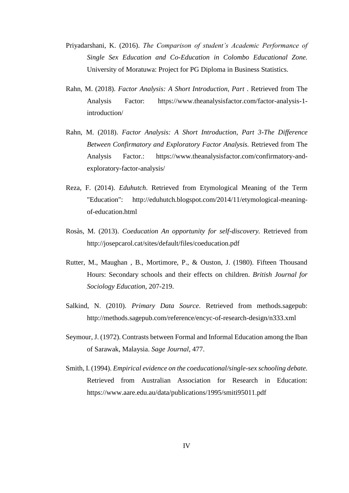- Priyadarshani, K. (2016). *The Comparison of student's Academic Performance of Single Sex Education and Co-Education in Colombo Educational Zone.* University of Moratuwa: Project for PG Diploma in Business Statistics.
- Rahn, M. (2018). *Factor Analysis: A Short Introduction, Part* . Retrieved from The Analysis Factor: https://www.theanalysisfactor.com/factor-analysis-1 introduction/
- Rahn, M. (2018). *Factor Analysis: A Short Introduction, Part 3-The Difference Between Confirmatory and Exploratory Factor Analysis.* Retrieved from The Analysis Factor.: https://www.theanalysisfactor.com/confirmatory-andexploratory-factor-analysis/
- Reza, F. (2014). *Eduhutch*. Retrieved from Etymological Meaning of the Term "Education": http://eduhutch.blogspot.com/2014/11/etymological-meaningof-education.html
- Rosàs, M. (2013). *Coeducation An opportunity for self-discovery.* Retrieved from http://josepcarol.cat/sites/default/files/coeducation.pdf
- Rutter, M., Maughan , B., Mortimore, P., & Ouston, J. (1980). Fifteen Thousand Hours: Secondary schools and their effects on children. *British Journal for Sociology Education*, 207-219.
- Salkind, N. (2010). *Primary Data Source*. Retrieved from methods.sagepub: http://methods.sagepub.com/reference/encyc-of-research-design/n333.xml
- Seymour, J. (1972). Contrasts between Formal and Informal Education among the Iban of Sarawak, Malaysia. *Sage Journal*, 477.
- Smith, I. (1994). *Empirical evidence on the coeducational/single-sex schooling debate.* Retrieved from Australian Association for Research in Education: https://www.aare.edu.au/data/publications/1995/smiti95011.pdf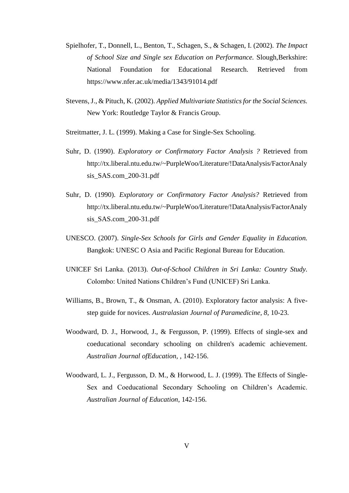- Spielhofer, T., Donnell, L., Benton, T., Schagen, S., & Schagen, I. (2002). *The Impact of School Size and Single sex Education on Performance.* Slough,Berkshire: National Foundation for Educational Research. Retrieved from https://www.nfer.ac.uk/media/1343/91014.pdf
- Stevens, J., & Pituch, K. (2002). *Applied Multivariate Statistics for the Social Sciences.* New York: Routledge Taylor & Francis Group.
- Streitmatter, J. L. (1999). Making a Case for Single-Sex Schooling.
- Suhr, D. (1990). *Exploratory or Confirmatory Factor Analysis ?* Retrieved from http://tx.liberal.ntu.edu.tw/~PurpleWoo/Literature/!DataAnalysis/FactorAnaly sis\_SAS.com\_200-31.pdf
- Suhr, D. (1990). *Exploratory or Confirmatory Factor Analysis?* Retrieved from http://tx.liberal.ntu.edu.tw/~PurpleWoo/Literature/!DataAnalysis/FactorAnaly sis\_SAS.com\_200-31.pdf
- UNESCO. (2007). *Single-Sex Schools for Girls and Gender Equality in Education.* Bangkok: UNESC O Asia and Pacific Regional Bureau for Education.
- UNICEF Sri Lanka. (2013). *Out-of-School Children in Sri Lanka: Country Study.* Colombo: United Nations Children's Fund (UNICEF) Sri Lanka.
- Williams, B., Brown, T., & Onsman, A. (2010). Exploratory factor analysis: A fivestep guide for novices. *Australasian Journal of Paramedicine, 8*, 10-23.
- Woodward, D. J., Horwood, J., & Fergusson, P. (1999). Effects of single-sex and coeducational secondary schooling on children's academic achievement. *Australian Journal ofEducation,* , 142-156.
- Woodward, L. J., Fergusson, D. M., & Horwood, L. J. (1999). The Effects of Single-Sex and Coeducational Secondary Schooling on Children's Academic. *Australian Journal of Education*, 142-156.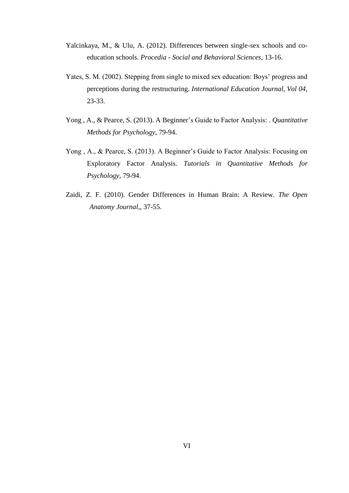- Yalcinkaya, M., & Ulu, A. (2012). Differences between single-sex schools and coeducation schools. *Procedia - Social and Behavioral Sciences*, 13-16.
- Yates, S. M. (2002). Stepping from single to mixed sex education: Boys' progress and perceptions during the restructuring. *International Education Journal, Vol 04*, 23-33.
- Yong , A., & Pearce, S. (2013). A Beginner's Guide to Factor Analysis: . *Quantitative Methods for Psychology*, 79-94.
- Yong , A., & Pearce, S. (2013). A Beginner's Guide to Factor Analysis: Focusing on Exploratory Factor Analysis. *Tutorials in Quantitative Methods for Psychology*, 79-94.
- Zaidi, Z. F. (2010). Gender Differences in Human Brain: A Review. *The Open Anatomy Journal,*, 37-55.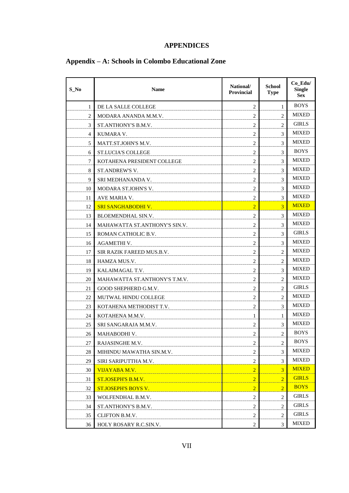## **APPENDICES**

# **Appendix – A: Schools in Colombo Educational Zone**

| S No | <b>Name</b>                   | National/<br><b>Provincial</b> | <b>School</b><br><b>Type</b> | Co_Edu/<br><b>Single</b><br><b>Sex</b> |
|------|-------------------------------|--------------------------------|------------------------------|----------------------------------------|
| 1    | DE LA SALLE COLLEGE           | $\overline{c}$                 | 1                            | <b>BOYS</b>                            |
| 2    | MODARA ANANDA M.M.V.          | 2                              | 2                            | <b>MIXED</b>                           |
| 3    | ST.ANTHONY'S B.M.V.           | 2                              | $\overline{2}$               | <b>GIRLS</b>                           |
| 4    | KUMARA V.                     | $\overline{c}$                 | 3                            | <b>MIXED</b>                           |
| 5    | MATT.ST.JOHN'S M.V.           | 2                              | 3                            | <b>MIXED</b>                           |
| 6    | <b>ST.LUCIA'S COLLEGE</b>     | 2                              | 3                            | <b>BOYS</b>                            |
| 7    | KOTAHENA PRESIDENT COLLEGE    | $\overline{c}$                 | 3                            | <b>MIXED</b>                           |
| 8    | ST.ANDREW'S V.                | 2                              | 3                            | <b>MIXED</b>                           |
| 9    | SRI MEDHANANDA V.             | $\overline{c}$                 | 3                            | MIXED                                  |
| 10   | MODARA ST.JOHN'S V.           | $\overline{c}$                 | 3                            | <b>MIXED</b>                           |
| 11   | <b>AVE MARIA V.</b>           | $\overline{2}$                 | 3                            | <b>MIXED</b>                           |
| 12   | <b>SRI SANGHABODHI V.</b>     | $\overline{2}$                 | 3                            | <b>MIXED</b>                           |
| 13   | <b>BLOEMENDHAL SIN.V.</b>     | $\overline{c}$                 | 3                            | <b>MIXED</b>                           |
| 14   | MAHAWATTA ST.ANTHONY'S SIN.V. | $\overline{c}$                 | 3                            | <b>MIXED</b>                           |
| 15   | ROMAN CATHOLIC B.V.           | 2                              | 3                            | <b>GIRLS</b>                           |
| 16   | <b>AGAMETHI V.</b>            | $\overline{c}$                 | 3                            | <b>MIXED</b>                           |
| 17   | SIR RAZIK FAREED MUS.B.V.     | 2                              | $\overline{2}$               | <b>MIXED</b>                           |
| 18   | HAMZA MUS.V.                  | $\overline{c}$                 | 2                            | <b>MIXED</b>                           |
| 19   | KALAIMAGAL T.V.               | $\overline{c}$                 | 3                            | <b>MIXED</b>                           |
| 20   | MAHAWATTA ST.ANTHONY'S T.M.V. | 2                              | 2                            | <b>MIXED</b>                           |
| 21   | GOOD SHEPHERD G.M.V.          | $\overline{c}$                 | 2                            | <b>GIRLS</b>                           |
| 22   | MUTWAL HINDU COLLEGE          | $\overline{c}$                 | 2                            | <b>MIXED</b>                           |
| 23   | KOTAHENA METHODIST T.V.       | 2                              | 3                            | <b>MIXED</b>                           |
| 24   | KOTAHENA M.M.V.               | 1                              | 1                            | <b>MIXED</b>                           |
| 25   | SRI SANGARAJA M.M.V.          | $\overline{c}$                 | 3                            | <b>MIXED</b>                           |
| 26   | MAHABODHI V.                  | 2                              | 2                            | <b>BOYS</b>                            |
| 27   | RAJASINGHE M.V.               | $\overline{c}$                 | $\overline{c}$               | <b>BOYS</b>                            |
| 28   | MIHINDU MAWATHA SIN.M.V.      | $\overline{c}$                 | 3                            | MIXED                                  |
| 29   | SIRI SARIPUTTHA M.V.          | $\overline{c}$                 | 3                            | <b>MIXED</b>                           |
| 30   | VIJAYABA M.V.                 | $\overline{2}$                 | 3                            | <b>MIXED</b>                           |
| 31   | <b>ST.JOSEPH'S B.M.V.</b>     | $\overline{2}$                 | $\overline{2}$               | <b>GIRLS</b>                           |
| 32   | <b>ST.JOSEPH'S BOYS V.</b>    | $\overline{2}$                 | $\overline{2}$               | <b>BOYS</b>                            |
| 33   | WOLFENDHAL B.M.V.             | $\overline{c}$                 | $\overline{c}$               | <b>GIRLS</b>                           |
| 34   | ST.ANTHONY'S B.M.V.           | $\overline{c}$                 | 2                            | <b>GIRLS</b>                           |
| 35   | CLIFTON B.M.V.                | $\overline{c}$                 | 2                            | <b>GIRLS</b>                           |
| 36   | HOLY ROSARY R.C.SIN.V.        | 2                              | 3                            | MIXED                                  |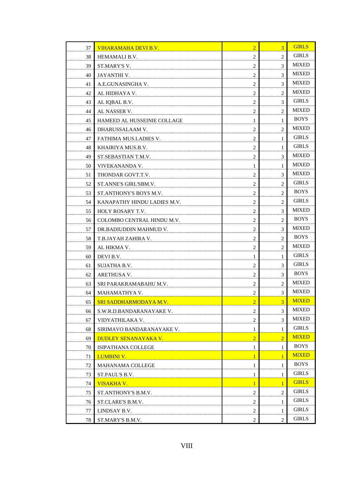| 37 | VIHARAMAHA DEVI B.V.          | $\overline{2}$ | $\overline{3}$ | <b>GIRLS</b> |
|----|-------------------------------|----------------|----------------|--------------|
| 38 | HEMAMALI B.V.                 | $\overline{c}$ | $\overline{c}$ | <b>GIRLS</b> |
| 39 | ST.MARY'S V.                  | 2              | 3              | <b>MIXED</b> |
| 40 | JAYANTHI V.                   | 2              | 3              | <b>MIXED</b> |
| 41 | A.E.GUNASINGHA V.             | $\overline{c}$ | 3              | <b>MIXED</b> |
| 42 | AL HIDHAYA V.                 | 2              | 2              | <b>MIXED</b> |
| 43 | AL IQBAL B.V.                 | 2              | 3              | <b>GIRLS</b> |
| 44 | AL NASSER V.                  | $\overline{c}$ | 2              | <b>MIXED</b> |
| 45 | HAMEED AL HUSSEINIE COLLAGE   | 1              | 1              | <b>BOYS</b>  |
| 46 | DHARUSSALAAM V.               | 2              | 2              | <b>MIXED</b> |
| 47 | FATHIMA MUS.LADIES V.         | $\overline{c}$ | 1              | <b>GIRLS</b> |
| 48 | KHAIRIYA MUS.B.V.             | 2              | 1              | <b>GIRLS</b> |
| 49 | ST.SEBASTIAN T.M.V.           | 2              | 3              | <b>MIXED</b> |
| 50 | VIVEKANANDA V.                | 1              | 1              | MIXED        |
| 51 | THONDAR GOVT.T.V.             | 2              | 3              | <b>MIXED</b> |
| 52 | ST.ANNE'S GIRL'SBM.V.         | $\overline{c}$ | 2              | <b>GIRLS</b> |
| 53 | ST.ANTHONY'S BOYS M.V.        | $\overline{c}$ | 2              | <b>BOYS</b>  |
| 54 | KANAPATHY HINDU LADIES M.V.   | 2              | 2              | <b>GIRLS</b> |
| 55 | HOLY ROSARY T.V.              | $\overline{c}$ | 3              | <b>MIXED</b> |
| 56 | COLOMBO CENTRAL HINDU M.V.    | $\overline{c}$ | 2              | <b>BOYS</b>  |
| 57 | DR.BADIUDDIN MAHMUD V.        | 2              | 3              | MIXED        |
| 58 | T.B.JAYAH ZAHIRA V.           | $\overline{c}$ | 2              | <b>BOYS</b>  |
| 59 | AL HIKMA V.                   | $\overline{c}$ | 2              | <b>MIXED</b> |
| 60 | DEVI B.V.                     | 1              | 1              | <b>GIRLS</b> |
| 61 | <b>SUJATHA B.V.</b>           | 2              | 3              | <b>GIRLS</b> |
| 62 | ARETHUSA V.                   | $\overline{c}$ | 3              | <b>BOYS</b>  |
| 63 | SRI PARAKRAMABAHU M.V.        | $\overline{c}$ | 2              | <b>MIXED</b> |
| 64 | MAHAMATHYA V.                 | $\overline{c}$ | 3              | <b>MIXED</b> |
| 65 | <b>SRI SADDHARMODAYA M.V.</b> | $\overline{2}$ | 3              | <b>MIXED</b> |
| 66 | S.W.R.D.BANDARANAYAKE V.      | $\overline{c}$ | 3              | MIXED        |
| 67 | VIDYATHILAKA V.               | $\overline{c}$ | 3              | MIXED        |
| 68 | SIRIMAVO BANDARANAYAKE V.     | 1              | $\mathbf{1}$   | <b>GIRLS</b> |
| 69 | <b>DUDLEY SENANAYAKA V.</b>   | $\overline{2}$ | $\overline{2}$ | <b>MIXED</b> |
| 70 | <b>ISIPATHANA COLLEGE</b>     | 1              | $\mathbf{1}$   | <b>BOYS</b>  |
| 71 | <b>LUMBINI V.</b>             | $\mathbf{1}$   | $\mathbf{1}$   | <b>MIXED</b> |
| 72 | MAHANAMA COLLEGE              | $\mathbf{1}$   | 1              | <b>BOYS</b>  |
| 73 | ST.PAUL'S B.V.                | 1              | $\mathbf{1}$   | <b>GIRLS</b> |
| 74 | <u>VISAKHA V. </u>            | $\mathbf{1}$   | $\mathbf{1}$   | <b>GIRLS</b> |
| 75 | ST.ANTHONY'S B.M.V.           | $\overline{c}$ | 2              | <b>GIRLS</b> |
| 76 | ST.CLARE'S B.M.V.             | $\overline{c}$ | 1              | <b>GIRLS</b> |
| 77 | LINDSAY B.V.                  | $\overline{c}$ | 1              | <b>GIRLS</b> |
| 78 | ST.MARY'S B.M.V.              | 2              | $\overline{2}$ | <b>GIRLS</b> |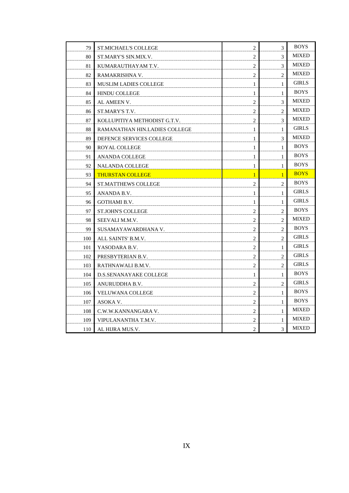| 79  | <b>ST.MICHAEL'S COLLEGE</b>   | 2              | 3              | <b>BOYS</b>  |
|-----|-------------------------------|----------------|----------------|--------------|
| 80  | ST.MARY'S SIN.MIX.V.          | 2              | 3              | <b>MIXED</b> |
| 81  | KUMARAUTHAYAM T.V.            | 2              | 3              | <b>MIXED</b> |
| 82  | RAMAKRISHNA V.                | $\overline{2}$ | $\overline{c}$ | <b>MIXED</b> |
| 83  | <b>MUSLIM LADIES COLLEGE</b>  | $\mathbf{1}$   | $\mathbf{1}$   | <b>GIRLS</b> |
| 84  | <b>HINDU COLLEGE</b>          | $\mathbf{1}$   | 1              | <b>BOYS</b>  |
| 85  | AL AMEEN V.                   | 2              | 3              | <b>MIXED</b> |
| 86  | ST.MARY'S T.V.                | 2              | $\overline{c}$ | <b>MIXED</b> |
| 87  | KOLLUPITIYA METHODIST G.T.V.  | 2              | 3              | <b>MIXED</b> |
| 88  | RAMANATHAN HIN.LADIES COLLEGE | 1              | 1              | <b>GIRLS</b> |
| 89  | DEFENCE SERVICES COLLEGE      | 1              | 3              | <b>MIXED</b> |
| 90  | <b>ROYAL COLLEGE</b>          | $\mathbf{1}$   | $\mathbf{1}$   | <b>BOYS</b>  |
| 91  | <b>ANANDA COLLEGE</b>         | 1              | $\mathbf{1}$   | <b>BOYS</b>  |
| 92  | <b>NALANDA COLLEGE</b>        | 1              | $\mathbf{1}$   | <b>BOYS</b>  |
| 93  | <b>THURSTAN COLLEGE</b>       | $\mathbf{1}$   | $\overline{1}$ | <b>BOYS</b>  |
| 94  | <b>ST.MATTHEWS COLLEGE</b>    | 2              | $\overline{c}$ | <b>BOYS</b>  |
| 95  | ANANDA B.V.                   | 1              | 1              | <b>GIRLS</b> |
| 96  | <b>GOTHAMI B.V.</b>           | 1              | 1              | <b>GIRLS</b> |
| 97  | <b>ST.JOHN'S COLLEGE</b>      | 2              | $\overline{2}$ | <b>BOYS</b>  |
| 98  | SEEVALI M.M.V.                | $\overline{c}$ | $\overline{c}$ | <b>MIXED</b> |
| 99  | SUSAMAYAWARDHANA V.           | 2              | 2              | <b>BOYS</b>  |
| 100 | ALL SAINTS' B.M.V.            | 2              | $\overline{2}$ | <b>GIRLS</b> |
| 101 | YASODARA B.V.                 | $\overline{2}$ | $\mathbf{1}$   | <b>GIRLS</b> |
| 102 | PRESBYTERIAN B.V.             | 2              | 2              | <b>GIRLS</b> |
| 103 | RATHNAWALI B.M.V.             | 2              | $\overline{c}$ | <b>GIRLS</b> |
| 104 | D.S.SENANAYAKE COLLEGE        | 1              | 1              | <b>BOYS</b>  |
| 105 | ANURUDDHA B.V.                | 2              | 2              | <b>GIRLS</b> |
| 106 | <b>VELUWANA COLLEGE</b>       | 2              | 1              | <b>BOYS</b>  |
| 107 | ASOKA V.                      | 2              | $\mathbf{1}$   | <b>BOYS</b>  |
| 108 | C.W.W.KANNANGARA V.           | 2              | 1              | <b>MIXED</b> |
| 109 | VIPULANANTHA T.M.V.           | 2              | $\mathbf{1}$   | <b>MIXED</b> |
| 110 | AL HIJRA MUS.V.               | 2              | 3              | <b>MIXED</b> |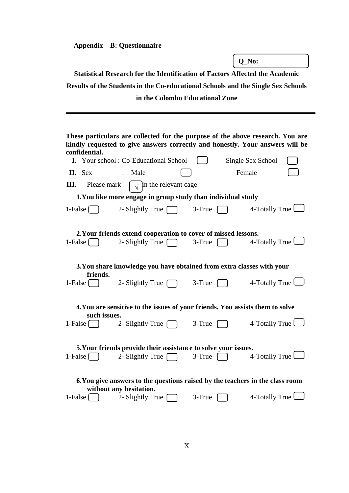**Appendix – B: Questionnaire** 

|                                                   |                                                                                                          |                                 | O No:                                                                                                                                                           |
|---------------------------------------------------|----------------------------------------------------------------------------------------------------------|---------------------------------|-----------------------------------------------------------------------------------------------------------------------------------------------------------------|
|                                                   | <b>Statistical Research for the Identification of Factors Affected the Academic</b>                      |                                 |                                                                                                                                                                 |
|                                                   |                                                                                                          |                                 | Results of the Students in the Co-educational Schools and the Single Sex Schools                                                                                |
|                                                   |                                                                                                          | in the Colombo Educational Zone |                                                                                                                                                                 |
|                                                   |                                                                                                          |                                 |                                                                                                                                                                 |
|                                                   |                                                                                                          |                                 |                                                                                                                                                                 |
|                                                   |                                                                                                          |                                 | These particulars are collected for the purpose of the above research. You are<br>kindly requested to give answers correctly and honestly. Your answers will be |
| confidential.                                     | <b>I.</b> Your school: Co-Educational School                                                             |                                 | Single Sex School                                                                                                                                               |
| II. Sex                                           | Male                                                                                                     |                                 | Female                                                                                                                                                          |
| III.<br>Please mark                               | $\sqrt{\ }$ in the relevant cage                                                                         |                                 |                                                                                                                                                                 |
|                                                   | 1. You like more engage in group study than individual study                                             |                                 |                                                                                                                                                                 |
| 1-False $\lceil$                                  | 2- Slightly True [                                                                                       | 3-True                          | 4-Totally True                                                                                                                                                  |
|                                                   | 2. Your friends extend cooperation to cover of missed lessons.                                           |                                 |                                                                                                                                                                 |
| 1-False $\begin{bmatrix} \quad \end{bmatrix}$     | 2- Slightly True [                                                                                       | 3-True                          | 4-Totally True                                                                                                                                                  |
| friends.                                          | 3. You share knowledge you have obtained from extra classes with your                                    |                                 |                                                                                                                                                                 |
| 1-False $\begin{array}{ c c } \hline \end{array}$ | 2- Slightly True $\Box$                                                                                  | $3-True$                        | 4-Totally True                                                                                                                                                  |
|                                                   | 4. You are sensitive to the issues of your friends. You assists them to solve                            |                                 |                                                                                                                                                                 |
| such issues.<br>1-False                           | 2- Slightly True [                                                                                       | 3-True                          | 4-Totally True                                                                                                                                                  |
|                                                   | 5. Your friends provide their assistance to solve your issues.                                           |                                 |                                                                                                                                                                 |
| $1$ -False                                        | 2- Slightly True [                                                                                       | $3$ -True $\lceil$              | 4-Totally True $\Box$                                                                                                                                           |
|                                                   | 6. You give answers to the questions raised by the teachers in the class room<br>without any hesitation. |                                 |                                                                                                                                                                 |
| 1-False $\vert$                                   | 2- Slightly True                                                                                         | 3-True                          | 4-Totally True $\Box$                                                                                                                                           |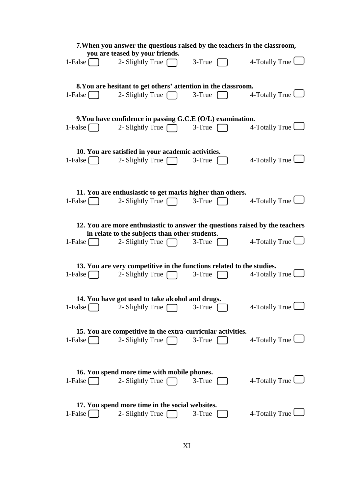|                                                        | 7. When you answer the questions raised by the teachers in the classroom,         |                                                       |                       |
|--------------------------------------------------------|-----------------------------------------------------------------------------------|-------------------------------------------------------|-----------------------|
|                                                        | you are teased by your friends.                                                   |                                                       |                       |
| 1-False $\Box$                                         | 2- Slightly True $\Box$                                                           | $3-True$                                              | 4-Totally True        |
|                                                        | 8. You are hesitant to get others' attention in the classroom.                    |                                                       |                       |
| $1$ -False $\begin{bmatrix} \phantom{-} \end{bmatrix}$ | 2- Slightly True $\Box$ 3-True $\Box$                                             |                                                       | 4-Totally True $\Box$ |
|                                                        | 9. You have confidence in passing G.C.E (O/L) examination.                        |                                                       |                       |
| 1-False $\begin{bmatrix} \phantom{-} \end{bmatrix}$    | 2- Slightly True $\sqrt{\phantom{a}}$                                             | $3$ -True $\begin{bmatrix} \phantom{-} \end{bmatrix}$ | 4-Totally True $\Box$ |
|                                                        | 10. You are satisfied in your academic activities.                                |                                                       |                       |
| 1-False $\begin{bmatrix} \phantom{-} \end{bmatrix}$    | 2- Slightly True $\Box$                                                           | $3 - True$                                            | 4-Totally True $\Box$ |
|                                                        |                                                                                   |                                                       |                       |
|                                                        | 11. You are enthusiastic to get marks higher than others.                         |                                                       |                       |
| 1-False $\begin{bmatrix} \phantom{-} \end{bmatrix}$    | 2- Slightly True $\Box$ 3-True $\Box$                                             |                                                       | 4-Totally True $\Box$ |
|                                                        | 12. You are more enthusiastic to answer the questions raised by the teachers      |                                                       |                       |
|                                                        | in relate to the subjects than other students.                                    |                                                       |                       |
| $1-False$                                              | 2- Slightly True $\Box$                                                           | $3$ -True                                             | 4-Totally True $\Box$ |
|                                                        |                                                                                   |                                                       |                       |
|                                                        | 13. You are very competitive in the functions related to the studies.             |                                                       |                       |
| 1-False $\begin{bmatrix} \quad \end{bmatrix}$          | 2- Slightly True $\Box$                                                           | $3 - True$                                            | 4-Totally True $\Box$ |
|                                                        | 14. You have got used to take alcohol and drugs.                                  |                                                       |                       |
| $1$ -False $\vert$                                     | 2- Slightly True [                                                                | 3-True                                                | 4-Totally True        |
|                                                        |                                                                                   |                                                       |                       |
| $1$ -False $\lceil$                                    | 15. You are competitive in the extra-curricular activities.<br>2- Slightly True [ | 3-True                                                | 4-Totally True $\Box$ |
|                                                        |                                                                                   |                                                       |                       |
|                                                        | 16. You spend more time with mobile phones.                                       |                                                       |                       |
| $1$ -False $\lceil$                                    | 2- Slightly True $\lceil$                                                         | 3-True                                                | 4-Totally True        |
|                                                        |                                                                                   |                                                       |                       |
|                                                        | 17. You spend more time in the social websites.                                   |                                                       |                       |
| $1$ -False $\lceil$                                    | 2- Slightly True [                                                                | 3-True                                                | 4-Totally True        |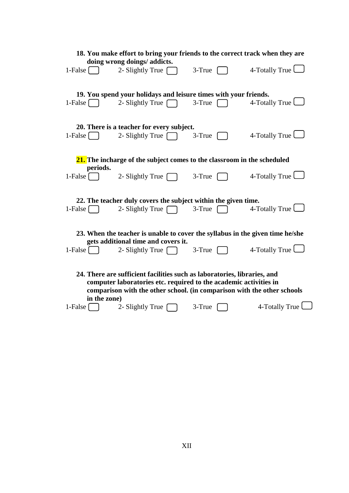|                                                     |              | 18. You make effort to bring your friends to the correct track when they are                                                                                                                                             |            |                       |
|-----------------------------------------------------|--------------|--------------------------------------------------------------------------------------------------------------------------------------------------------------------------------------------------------------------------|------------|-----------------------|
|                                                     |              | doing wrong doings/ addicts.                                                                                                                                                                                             |            |                       |
| 1-False $\begin{bmatrix} \phantom{-} \end{bmatrix}$ |              | 2- Slightly True                                                                                                                                                                                                         | $3 - True$ | 4-Totally True $\Box$ |
|                                                     |              | 19. You spend your holidays and leisure times with your friends.                                                                                                                                                         |            |                       |
| 1-False $\begin{bmatrix} \phantom{-} \end{bmatrix}$ |              | 2- Slightly True                                                                                                                                                                                                         | 3-True     | 4-Totally True        |
|                                                     |              | 20. There is a teacher for every subject.                                                                                                                                                                                |            |                       |
| 1-False $\Box$                                      |              | 2- Slightly True $\Box$                                                                                                                                                                                                  | $3 - True$ | 4-Totally True $\Box$ |
|                                                     |              | 21. The incharge of the subject comes to the classroom in the scheduled                                                                                                                                                  |            |                       |
| 1-False $\vert$                                     | periods.     | 2- Slightly True [                                                                                                                                                                                                       | 3-True     | 4-Totally True $\Box$ |
|                                                     |              | 22. The teacher duly covers the subject within the given time.                                                                                                                                                           |            |                       |
| 1-False $\begin{bmatrix} \phantom{-} \end{bmatrix}$ |              | 2- Slightly True                                                                                                                                                                                                         | 3-True     | 4-Totally True $\Box$ |
|                                                     |              | 23. When the teacher is unable to cover the syllabus in the given time he/she                                                                                                                                            |            |                       |
| $1$ -False                                          |              | gets additional time and covers it.<br>2- Slightly True [                                                                                                                                                                | 3-True     | 4-Totally True        |
|                                                     |              | 24. There are sufficient facilities such as laboratories, libraries, and<br>computer laboratories etc. required to the academic activities in<br>comparison with the other school. (in comparison with the other schools |            |                       |
| 1-False $\lceil$                                    | in the zone) | 2- Slightly True                                                                                                                                                                                                         | 3-True     | 4-Totally True        |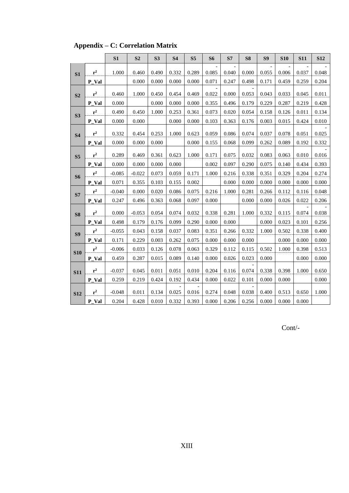|                |                | S1       | S <sub>2</sub> | S3    | <b>S4</b> | S <sub>5</sub> | <b>S6</b> | ${\bf S7}$ | S <sub>8</sub> | S9    | <b>S10</b> | <b>S11</b> | <b>S12</b> |
|----------------|----------------|----------|----------------|-------|-----------|----------------|-----------|------------|----------------|-------|------------|------------|------------|
|                |                |          |                |       |           |                |           |            |                |       |            |            |            |
| S <sub>1</sub> | $\mathbf{r}^2$ | 1.000    | 0.460          | 0.490 | 0.332     | 0.289          | 0.085     | 0.040      | 0.000          | 0.055 | 0.006      | 0.037      | 0.048      |
|                | P_Val          |          | 0.000          | 0.000 | 0.000     | 0.000          | 0.071     | 0.247      | 0.498          | 0.171 | 0.459      | 0.259      | 0.204      |
| S <sub>2</sub> | $r^2$          | 0.460    | 1.000          | 0.450 | 0.454     | 0.469          | 0.022     | 0.000      | 0.053          | 0.043 | 0.033      | 0.045      | 0.011      |
|                | P_Val          | 0.000    |                | 0.000 | 0.000     | 0.000          | 0.355     | 0.496      | 0.179          | 0.229 | 0.287      | 0.219      | 0.428      |
| S3             | $\mathbf{r}^2$ | 0.490    | 0.450          | 1.000 | 0.253     | 0.361          | 0.073     | 0.020      | 0.054          | 0.158 | 0.126      | 0.011      | 0.134      |
|                | P_Val          | 0.000    | 0.000          |       | 0.000     | 0.000          | 0.103     | 0.363      | 0.176          | 0.003 | 0.015      | 0.424      | 0.010      |
|                |                |          |                |       |           |                |           |            |                |       |            |            |            |
| <b>S4</b>      | $\mathbf{r}^2$ | 0.332    | 0.454          | 0.253 | 1.000     | 0.623          | 0.059     | 0.086      | 0.074          | 0.037 | 0.078      | 0.051      | 0.025      |
|                | P_Val          | 0.000    | 0.000          | 0.000 |           | 0.000          | 0.155     | 0.068      | 0.099          | 0.262 | 0.089      | 0.192      | 0.332      |
| S <sub>5</sub> | $r^2$          | 0.289    | 0.469          | 0.361 | 0.623     | 1.000          | 0.171     | 0.075      | 0.032          | 0.083 | 0.063      | 0.010      | 0.016      |
|                | P_Val          | 0.000    | 0.000          | 0.000 | 0.000     |                | 0.002     | 0.097      | 0.290          | 0.075 | 0.140      | 0.434      | 0.393      |
|                | $\mathbf{r}^2$ | $-0.085$ | $-0.022$       | 0.073 | 0.059     | 0.171          | 1.000     | 0.216      | 0.338          | 0.351 | 0.329      | 0.204      | 0.274      |
| S <sub>6</sub> | P_Val          | 0.071    | 0.355          | 0.103 | 0.155     | 0.002          |           | 0.000      | 0.000          | 0.000 | 0.000      | 0.000      | 0.000      |
|                | $\mathbf{r}^2$ | $-0.040$ | 0.000          | 0.020 | 0.086     | 0.075          | 0.216     | 1.000      | 0.281          | 0.266 | 0.112      | 0.116      | 0.048      |
| S7             | P_Val          | 0.247    | 0.496          | 0.363 | 0.068     | 0.097          | 0.000     |            | 0.000          | 0.000 | 0.026      | 0.022      | 0.206      |
|                |                |          |                |       |           |                |           |            |                |       |            |            |            |
| S <sub>8</sub> | $\mathbf{r}^2$ | 0.000    | $-0.053$       | 0.054 | 0.074     | 0.032          | 0.338     | 0.281      | 1.000          | 0.332 | 0.115      | 0.074      | 0.038      |
|                | P_Val          | 0.498    | 0.179          | 0.176 | 0.099     | 0.290          | 0.000     | 0.000      |                | 0.000 | 0.023      | 0.101      | 0.256      |
| S <sub>9</sub> | $\mathbf{r}^2$ | $-0.055$ | 0.043          | 0.158 | 0.037     | 0.083          | 0.351     | 0.266      | 0.332          | 1.000 | 0.502      | 0.338      | 0.400      |
|                | P_Val          | 0.171    | 0.229          | 0.003 | 0.262     | 0.075          | 0.000     | 0.000      | 0.000          |       | 0.000      | 0.000      | 0.000      |
| <b>S10</b>     | $\mathbf{r}^2$ | $-0.006$ | 0.033          | 0.126 | 0.078     | 0.063          | 0.329     | 0.112      | 0.115          | 0.502 | 1.000      | 0.398      | 0.513      |
|                | P_Val          | 0.459    | 0.287          | 0.015 | 0.089     | 0.140          | 0.000     | 0.026      | 0.023          | 0.000 |            | 0.000      | 0.000      |
|                | $\mathbf{r}^2$ | $-0.037$ | 0.045          | 0.011 | 0.051     | 0.010          | 0.204     | 0.116      | 0.074          | 0.338 | 0.398      | 1.000      | 0.650      |
| <b>S11</b>     | P_Val          | 0.259    | 0.219          | 0.424 | 0.192     | 0.434          | 0.000     | 0.022      | 0.101          | 0.000 | 0.000      |            | 0.000      |
|                |                |          |                |       |           |                |           |            |                |       |            |            |            |
| <b>S12</b>     | $r^2$          | $-0.048$ | 0.011          | 0.134 | 0.025     | 0.016          | 0.274     | 0.048      | 0.038          | 0.400 | 0.513      | 0.650      | 1.000      |
|                | P_Val          | 0.204    | 0.428          | 0.010 | 0.332     | 0.393          | 0.000     | 0.206      | 0.256          | 0.000 | 0.000      | 0.000      |            |

**Appendix – C: Correlation Matrix**

Cont/-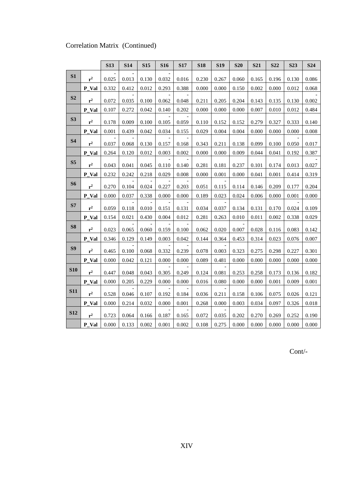### Correlation Matrix (Continued)

|                |                | <b>S13</b> | <b>S14</b> | <b>S15</b> | S <sub>16</sub> | <b>S17</b> | <b>S18</b> | <b>S19</b> | <b>S20</b> | <b>S21</b> | <b>S22</b> | <b>S23</b> | S <sub>24</sub> |
|----------------|----------------|------------|------------|------------|-----------------|------------|------------|------------|------------|------------|------------|------------|-----------------|
| S1             | $r^2$          | 0.025      | 0.013      | 0.130      | 0.032           | 0.016      | 0.230      | 0.267      | 0.060      | 0.165      | 0.196      | 0.130      | 0.086           |
|                | P_Val          | 0.332      | 0.412      | 0.012      | 0.293           | 0.388      | 0.000      | 0.000      | 0.150      | 0.002      | 0.000      | 0.012      | 0.068           |
| S <sub>2</sub> | $r^2$          | 0.072      | 0.035      | 0.100      | 0.062           | 0.048      | 0.211      | 0.205      | 0.204      | 0.143      | 0.135      | 0.130      | 0.002           |
|                | P_Val          | 0.107      | 0.272      | 0.042      | 0.140           | 0.202      | 0.000      | 0.000      | 0.000      | 0.007      | 0.010      | 0.012      | 0.484           |
| S3             |                |            |            |            |                 |            |            |            |            |            |            |            |                 |
|                | $\mathbf{r}^2$ | 0.178      | 0.009      | 0.100      | 0.105           | 0.059      | 0.110      | 0.152      | 0.152      | 0.279      | 0.327      | 0.333      | 0.140           |
|                | P_Val          | 0.001      | 0.439      | 0.042      | 0.034           | 0.155      | 0.029      | 0.004      | 0.004      | 0.000      | 0.000      | 0.000      | 0.008           |
| <b>S4</b>      | $r^2$          | 0.037      | 0.068      | 0.130      | 0.157           | 0.168      | 0.343      | 0.211      | 0.138      | 0.099      | 0.100      | 0.050      | 0.017           |
|                | P_Val          | 0.264      | 0.120      | 0.012      | 0.003           | 0.002      | 0.000      | 0.000      | 0.009      | 0.044      | 0.041      | 0.192      | 0.387           |
| S <sub>5</sub> | $r^2$          | 0.043      | 0.041      | 0.045      | 0.110           | 0.140      | 0.281      | 0.181      | 0.237      | 0.101      | 0.174      | 0.013      | 0.027           |
|                | P_Val          | 0.232      | 0.242      | 0.218      | 0.029           | 0.008      | 0.000      | 0.001      | 0.000      | 0.041      | 0.001      | 0.414      | 0.319           |
| <b>S6</b>      | $r^2$          | 0.270      | 0.104      | 0.024      | 0.227           | 0.203      | 0.051      | 0.115      | 0.114      | 0.146      | 0.209      | 0.177      | 0.204           |
|                | P_Val          | 0.000      | 0.037      | 0.338      | 0.000           | 0.000      | 0.189      | 0.023      | 0.024      | 0.006      | 0.000      | 0.001      | 0.000           |
| S7             |                |            |            |            |                 |            |            |            |            |            |            |            |                 |
|                | $r^2$          | 0.059      | 0.118      | 0.010      | 0.151           | 0.131      | 0.034      | 0.037      | 0.134      | 0.131      | 0.170      | 0.024      | 0.109           |
|                | P_Val          | 0.154      | 0.021      | 0.430      | 0.004           | 0.012      | 0.281      | 0.263      | 0.010      | 0.011      | 0.002      | 0.338      | 0.029           |
| <b>S8</b>      | $r^2$          | 0.023      | 0.065      | 0.060      | 0.159           | 0.100      | 0.062      | 0.020      | 0.007      | 0.028      | 0.116      | 0.083      | 0.142           |
|                | P_Val          | 0.346      | 0.129      | 0.149      | 0.003           | 0.042      | 0.144      | 0.364      | 0.453      | 0.314      | 0.023      | 0.076      | 0.007           |
| S9             | $r^2$          | 0.465      | 0.100      | 0.068      | 0.332           | 0.239      | 0.078      | 0.003      | 0.323      | 0.275      | 0.298      | 0.227      | 0.301           |
|                | P Val          | 0.000      | 0.042      | 0.121      | 0.000           | 0.000      | 0.089      | 0.481      | 0.000      | 0.000      | 0.000      | 0.000      | 0.000           |
| <b>S10</b>     | $r^2$          | 0.447      | 0.048      | 0.043      | 0.305           | 0.249      | 0.124      | 0.081      | 0.253      | 0.258      | 0.173      | 0.136      | 0.182           |
|                | P Val          | 0.000      | 0.205      | 0.229      | 0.000           | 0.000      | 0.016      | 0.080      | 0.000      | 0.000      | 0.001      | 0.009      | 0.001           |
| <b>S11</b>     |                |            |            |            |                 |            |            |            |            |            |            |            |                 |
|                | $r^2$          | 0.528      | 0.046      | 0.107      | 0.192           | 0.184      | 0.036      | 0.211      | 0.158      | 0.106      | 0.075      | 0.026      | 0.121           |
|                | P Val          | 0.000      | 0.214      | 0.032      | 0.000           | 0.001      | 0.268      | 0.000      | 0.003      | 0.034      | 0.097      | 0.326      | 0.018           |
| <b>S12</b>     | $r^2$          | 0.723      | 0.064      | 0.166      | 0.187           | 0.165      | 0.072      | 0.035      | 0.202      | 0.270      | 0.269      | 0.252      | 0.190           |
|                | P_Val          | 0.000      | 0.133      | 0.002      | 0.001           | 0.002      | 0.108      | 0.275      | 0.000      | 0.000      | 0.000      | 0.000      | 0.000           |

Cont/-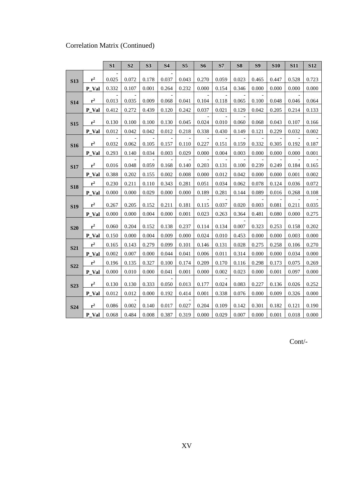# Correlation Matrix (Continued)

|            |                | S1    | S <sub>2</sub> | S3    | S4    | S <sub>5</sub> | S <sub>6</sub> | S7    | <b>S8</b>                | <b>S9</b> | <b>S10</b> | <b>S11</b> | <b>S12</b> |
|------------|----------------|-------|----------------|-------|-------|----------------|----------------|-------|--------------------------|-----------|------------|------------|------------|
|            | $r^2$          | 0.025 | 0.072          | 0.178 | 0.037 | 0.043          | 0.270          | 0.059 | 0.023                    | 0.465     | 0.447      | 0.528      | 0.723      |
| <b>S13</b> |                |       |                |       |       |                |                |       |                          |           |            |            |            |
|            | $P_Val$        | 0.332 | 0.107          | 0.001 | 0.264 | 0.232          | 0.000          | 0.154 | 0.346                    | 0.000     | 0.000      | 0.000      | 0.000      |
| <b>S14</b> | $r^2$          | 0.013 | 0.035          | 0.009 | 0.068 | 0.041          | 0.104          | 0.118 | 0.065                    | 0.100     | 0.048      | 0.046      | 0.064      |
|            | P_Val          | 0.412 | 0.272          | 0.439 | 0.120 | 0.242          | 0.037          | 0.021 | 0.129                    | 0.042     | 0.205      | 0.214      | 0.133      |
|            | $r^2$          | 0.130 | 0.100          | 0.100 | 0.130 | 0.045          | 0.024          | 0.010 | 0.060                    | 0.068     | 0.043      | 0.107      | 0.166      |
| <b>S15</b> | P Val          | 0.012 | 0.042          | 0.042 | 0.012 | 0.218          | 0.338          | 0.430 | 0.149                    | 0.121     | 0.229      | 0.032      | 0.002      |
|            |                |       |                |       |       | $\overline{a}$ |                |       | $\overline{\phantom{a}}$ |           |            |            |            |
| <b>S16</b> | $r^2$          | 0.032 | 0.062          | 0.105 | 0.157 | 0.110          | 0.227          | 0.151 | 0.159                    | 0.332     | 0.305      | 0.192      | 0.187      |
|            | P_Val          | 0.293 | 0.140          | 0.034 | 0.003 | 0.029          | 0.000          | 0.004 | 0.003                    | 0.000     | 0.000      | 0.000      | 0.001      |
| <b>S17</b> | $r^2$          | 0.016 | 0.048          | 0.059 | 0.168 | 0.140          | 0.203          | 0.131 | 0.100                    | 0.239     | 0.249      | 0.184      | 0.165      |
|            | P Val          | 0.388 | 0.202          | 0.155 | 0.002 | 0.008          | 0.000          | 0.012 | 0.042                    | 0.000     | 0.000      | 0.001      | 0.002      |
|            | $\mathbf{r}^2$ | 0.230 | 0.211          | 0.110 | 0.343 | 0.281          | 0.051          | 0.034 | 0.062                    | 0.078     | 0.124      | 0.036      | 0.072      |
| <b>S18</b> | P Val          | 0.000 | 0.000          | 0.029 | 0.000 | 0.000          | 0.189          | 0.281 | 0.144                    | 0.089     | 0.016      | 0.268      | 0.108      |
| <b>S19</b> | $\mathbf{r}^2$ | 0.267 | 0.205          | 0.152 | 0.211 | 0.181          | 0.115          | 0.037 | 0.020                    | 0.003     | 0.081      | 0.211      | 0.035      |
|            | P_Val          | 0.000 | 0.000          | 0.004 | 0.000 | 0.001          | 0.023          | 0.263 | 0.364                    | 0.481     | 0.080      | 0.000      | 0.275      |
|            |                |       |                |       |       |                |                |       |                          |           |            |            |            |
| <b>S20</b> | $r^2$          | 0.060 | 0.204          | 0.152 | 0.138 | 0.237          | 0.114          | 0.134 | 0.007                    | 0.323     | 0.253      | 0.158      | 0.202      |
|            | P_Val          | 0.150 | 0.000          | 0.004 | 0.009 | 0.000          | 0.024          | 0.010 | 0.453                    | 0.000     | 0.000      | 0.003      | 0.000      |
| <b>S21</b> | $r^2$          | 0.165 | 0.143          | 0.279 | 0.099 | 0.101          | 0.146          | 0.131 | 0.028                    | 0.275     | 0.258      | 0.106      | 0.270      |
|            | P Val          | 0.002 | 0.007          | 0.000 | 0.044 | 0.041          | 0.006          | 0.011 | 0.314                    | 0.000     | 0.000      | 0.034      | 0.000      |
| <b>S22</b> | $\mathbf{r}^2$ | 0.196 | 0.135          | 0.327 | 0.100 | 0.174          | 0.209          | 0.170 | 0.116                    | 0.298     | 0.173      | 0.075      | 0.269      |
|            | P_Val          | 0.000 | 0.010          | 0.000 | 0.041 | 0.001          | 0.000          | 0.002 | 0.023                    | 0.000     | 0.001      | 0.097      | 0.000      |
| <b>S23</b> | $r^2$          | 0.130 | 0.130          | 0.333 | 0.050 | 0.013          | 0.177          | 0.024 | 0.083                    | 0.227     | 0.136      | 0.026      | 0.252      |
|            | P Val          | 0.012 | 0.012          | 0.000 | 0.192 | 0.414          | 0.001          | 0.338 | 0.076                    | 0.000     | 0.009      | 0.326      | 0.000      |
|            |                |       |                |       |       |                |                |       |                          |           |            |            |            |
| <b>S24</b> | $r^2$          | 0.086 | 0.002          | 0.140 | 0.017 | 0.027          | 0.204          | 0.109 | 0.142                    | 0.301     | 0.182      | 0.121      | 0.190      |
|            | P_Val          | 0.068 | 0.484          | 0.008 | 0.387 | 0.319          | 0.000          | 0.029 | 0.007                    | 0.000     | 0.001      | 0.018      | 0.000      |

Cont/-